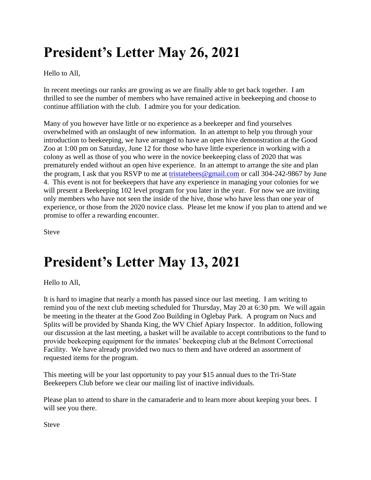# **President's Letter May 26, 2021**

Hello to All,

In recent meetings our ranks are growing as we are finally able to get back together. I am thrilled to see the number of members who have remained active in beekeeping and choose to continue affiliation with the club. I admire you for your dedication.

Many of you however have little or no experience as a beekeeper and find yourselves overwhelmed with an onslaught of new information. In an attempt to help you through your introduction to beekeeping, we have arranged to have an open hive demonstration at the Good Zoo at 1:00 pm on Saturday, June 12 for those who have little experience in working with a colony as well as those of you who were in the novice beekeeping class of 2020 that was prematurely ended without an open hive experience. In an attempt to arrange the site and plan the program, I ask that you RSVP to me at [tristatebees@gmail.com](mailto:tristatebees@gmail.com) or call 304-242-9867 by June 4. This event is not for beekeepers that have any experience in managing your colonies for we will present a Beekeeping 102 level program for you later in the year. For now we are inviting only members who have not seen the inside of the hive, those who have less than one year of experience, or those from the 2020 novice class. Please let me know if you plan to attend and we promise to offer a rewarding encounter.

Steve

### **President's Letter May 13, 2021**

Hello to All,

It is hard to imagine that nearly a month has passed since our last meeting. I am writing to remind you of the next club meeting scheduled for Thursday, May 20 at 6:30 pm. We will again be meeting in the theater at the Good Zoo Building in Oglebay Park. A program on Nucs and Splits will be provided by Shanda King, the WV Chief Apiary Inspector. In addition, following our discussion at the last meeting, a basket will be available to accept contributions to the fund to provide beekeeping equipment for the inmates' beekeeping club at the Belmont Correctional Facility. We have already provided two nucs to them and have ordered an assortment of requested items for the program.

This meeting will be your last opportunity to pay your \$15 annual dues to the Tri-State Beekeepers Club before we clear our mailing list of inactive individuals.

Please plan to attend to share in the camaraderie and to learn more about keeping your bees. I will see you there.

Steve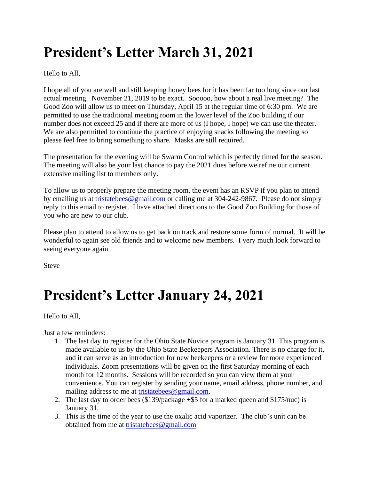# **President's Letter March 31, 2021**

Hello to All,

I hope all of you are well and still keeping honey bees for it has been far too long since our last actual meeting. November 21, 2019 to be exact. Sooooo, how about a real live meeting? The Good Zoo will allow us to meet on Thursday, April 15 at the regular time of 6:30 pm. We are permitted to use the traditional meeting room in the lower level of the Zoo building if our number does not exceed 25 and if there are more of us (I hope, I hope) we can use the theater. We are also permitted to continue the practice of enjoying snacks following the meeting so please feel free to bring something to share. Masks are still required.

The presentation for the evening will be Swarm Control which is perfectly timed for the season. The meeting will also be your last chance to pay the 2021 dues before we refine our current extensive mailing list to members only.

To allow us to properly prepare the meeting room, the event has an RSVP if you plan to attend by emailing us at [tristatebees@gmail.com](mailto:tristatebees@gmail.com) or calling me at 304-242-9867. Please do not simply reply to this email to register. I have attached directions to the Good Zoo Building for those of you who are new to our club.

Please plan to attend to allow us to get back on track and restore some form of normal. It will be wonderful to again see old friends and to welcome new members. I very much look forward to seeing everyone again.

Steve

### **President's Letter January 24, 2021**

Hello to All,

Just a few reminders:

- 1. The last day to register for the Ohio State Novice program is January 31. This program is made available to us by the Ohio State Beekeepers Association. There is no charge for it, and it can serve as an introduction for new beekeepers or a review for more experienced individuals. Zoom presentations will be given on the first Saturday morning of each month for 12 months. Sessions will be recorded so you can view them at your convenience. You can register by sending your name, email address, phone number, and mailing address to me at [tristatebees@gmail.com.](mailto:tristatebees@gmail.com)
- 2. The last day to order bees (\$139/package +\$5 for a marked queen and \$175/nuc) is January 31.
- 3. This is the time of the year to use the oxalic acid vaporizer. The club's unit can be obtained from me at [tristatebees@gmail.com](mailto:tristatebees@gmail.com)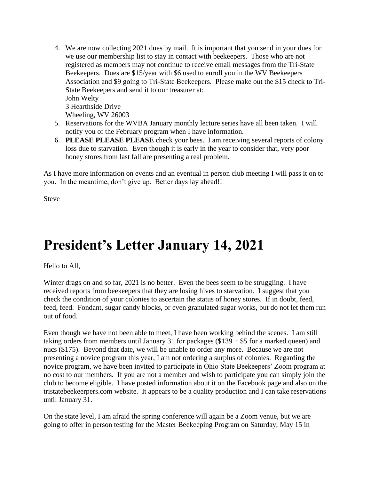- 4. We are now collecting 2021 dues by mail. It is important that you send in your dues for we use our membership list to stay in contact with beekeepers. Those who are not registered as members may not continue to receive email messages from the Tri-State Beekeepers. Dues are \$15/year with \$6 used to enroll you in the WV Beekeepers Association and \$9 going to Tri-State Beekeepers. Please make out the \$15 check to Tri-State Beekeepers and send it to our treasurer at: John Welty 3 Hearthside Drive Wheeling, WV 26003
- 5. Reservations for the WVBA January monthly lecture series have all been taken. I will notify you of the February program when I have information.
- 6. **PLEASE PLEASE PLEASE** check your bees. I am receiving several reports of colony loss due to starvation. Even though it is early in the year to consider that, very poor honey stores from last fall are presenting a real problem.

As I have more information on events and an eventual in person club meeting I will pass it on to you. In the meantime, don't give up. Better days lay ahead!!

Steve

#### **President's Letter January 14, 2021**

Hello to All,

Winter drags on and so far, 2021 is no better. Even the bees seem to be struggling. I have received reports from beekeepers that they are losing hives to starvation. I suggest that you check the condition of your colonies to ascertain the status of honey stores. If in doubt, feed, feed, feed. Fondant, sugar candy blocks, or even granulated sugar works, but do not let them run out of food.

Even though we have not been able to meet, I have been working behind the scenes. I am still taking orders from members until January 31 for packages  $(\$139 + \$5$  for a marked queen) and nucs (\$175). Beyond that date, we will be unable to order any more. Because we are not presenting a novice program this year, I am not ordering a surplus of colonies. Regarding the novice program, we have been invited to participate in Ohio State Beekeepers' Zoom program at no cost to our members. If you are not a member and wish to participate you can simply join the club to become eligible. I have posted information about it on the Facebook page and also on the tristatebeekeerpers.com website. It appears to be a quality production and I can take reservations until January 31.

On the state level, I am afraid the spring conference will again be a Zoom venue, but we are going to offer in person testing for the Master Beekeeping Program on Saturday, May 15 in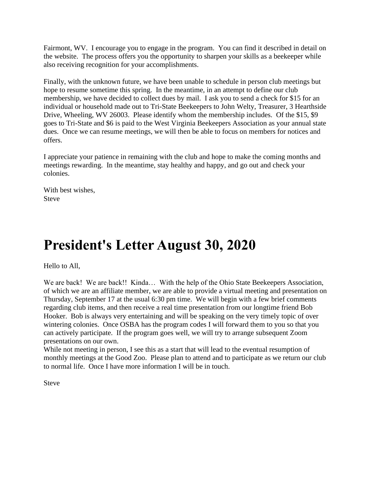Fairmont, WV. I encourage you to engage in the program. You can find it described in detail on the website. The process offers you the opportunity to sharpen your skills as a beekeeper while also receiving recognition for your accomplishments.

Finally, with the unknown future, we have been unable to schedule in person club meetings but hope to resume sometime this spring. In the meantime, in an attempt to define our club membership, we have decided to collect dues by mail. I ask you to send a check for \$15 for an individual or household made out to Tri-State Beekeepers to John Welty, Treasurer, 3 Hearthside Drive, Wheeling, WV 26003. Please identify whom the membership includes. Of the \$15, \$9 goes to Tri-State and \$6 is paid to the West Virginia Beekeepers Association as your annual state dues. Once we can resume meetings, we will then be able to focus on members for notices and offers.

I appreciate your patience in remaining with the club and hope to make the coming months and meetings rewarding. In the meantime, stay healthy and happy, and go out and check your colonies.

With best wishes, Steve

### **President's Letter August 30, 2020**

Hello to All,

We are back! We are back!! Kinda... With the help of the Ohio State Beekeepers Association, of which we are an affiliate member, we are able to provide a virtual meeting and presentation on Thursday, September 17 at the usual 6:30 pm time. We will begin with a few brief comments regarding club items, and then receive a real time presentation from our longtime friend Bob Hooker. Bob is always very entertaining and will be speaking on the very timely topic of over wintering colonies. Once OSBA has the program codes I will forward them to you so that you can actively participate. If the program goes well, we will try to arrange subsequent Zoom presentations on our own.

While not meeting in person, I see this as a start that will lead to the eventual resumption of monthly meetings at the Good Zoo. Please plan to attend and to participate as we return our club to normal life. Once I have more information I will be in touch.

Steve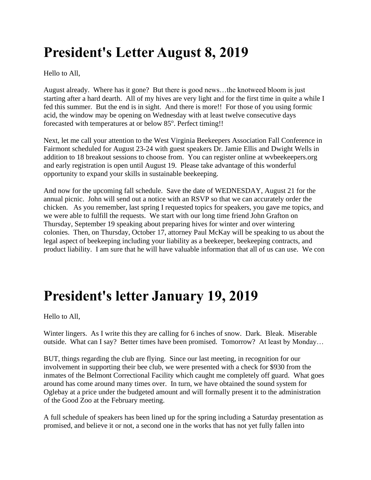## **President's Letter August 8, 2019**

Hello to All,

August already. Where has it gone? But there is good news…the knotweed bloom is just starting after a hard dearth. All of my hives are very light and for the first time in quite a while I fed this summer. But the end is in sight. And there is more!! For those of you using formic acid, the window may be opening on Wednesday with at least twelve consecutive days forecasted with temperatures at or below 85°. Perfect timing!!

Next, let me call your attention to the West Virginia Beekeepers Association Fall Conference in Fairmont scheduled for August 23-24 with guest speakers Dr. Jamie Ellis and Dwight Wells in addition to 18 breakout sessions to choose from. You can register online at wvbeekeepers.org and early registration is open until August 19. Please take advantage of this wonderful opportunity to expand your skills in sustainable beekeeping.

And now for the upcoming fall schedule. Save the date of WEDNESDAY, August 21 for the annual picnic. John will send out a notice with an RSVP so that we can accurately order the chicken. As you remember, last spring I requested topics for speakers, you gave me topics, and we were able to fulfill the requests. We start with our long time friend John Grafton on Thursday, September 19 speaking about preparing hives for winter and over wintering colonies. Then, on Thursday, October 17, attorney Paul McKay will be speaking to us about the legal aspect of beekeeping including your liability as a beekeeper, beekeeping contracts, and product liability. I am sure that he will have valuable information that all of us can use. We con

### **President's letter January 19, 2019**

Hello to All,

Winter lingers. As I write this they are calling for 6 inches of snow. Dark. Bleak. Miserable outside. What can I say? Better times have been promised. Tomorrow? At least by Monday…

BUT, things regarding the club are flying. Since our last meeting, in recognition for our involvement in supporting their bee club, we were presented with a check for \$930 from the inmates of the Belmont Correctional Facility which caught me completely off guard. What goes around has come around many times over. In turn, we have obtained the sound system for Oglebay at a price under the budgeted amount and will formally present it to the administration of the Good Zoo at the February meeting.

A full schedule of speakers has been lined up for the spring including a Saturday presentation as promised, and believe it or not, a second one in the works that has not yet fully fallen into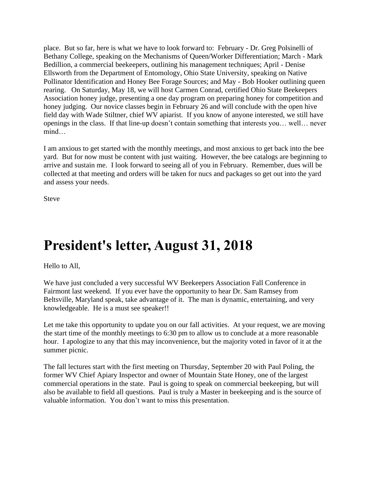place. But so far, here is what we have to look forward to: February - Dr. Greg Polsinelli of Bethany College, speaking on the Mechanisms of Queen/Worker Differentiation; March - Mark Bedillion, a commercial beekeepers, outlining his management techniques; April - Denise Ellsworth from the Department of Entomology, Ohio State University, speaking on Native Pollinator Identification and Honey Bee Forage Sources; and May - Bob Hooker outlining queen rearing. On Saturday, May 18, we will host Carmen Conrad, certified Ohio State Beekeepers Association honey judge, presenting a one day program on preparing honey for competition and honey judging. Our novice classes begin in February 26 and will conclude with the open hive field day with Wade Stiltner, chief WV apiarist. If you know of anyone interested, we still have openings in the class. If that line-up doesn't contain something that interests you… well… never mind…

I am anxious to get started with the monthly meetings, and most anxious to get back into the bee yard. But for now must be content with just waiting. However, the bee catalogs are beginning to arrive and sustain me. I look forward to seeing all of you in February. Remember, dues will be collected at that meeting and orders will be taken for nucs and packages so get out into the yard and assess your needs.

Steve

#### **President's letter, August 31, 2018**

Hello to All,

We have just concluded a very successful WV Beekeepers Association Fall Conference in Fairmont last weekend. If you ever have the opportunity to hear Dr. Sam Ramsey from Beltsville, Maryland speak, take advantage of it. The man is dynamic, entertaining, and very knowledgeable. He is a must see speaker!!

Let me take this opportunity to update you on our fall activities. At your request, we are moving the start time of the monthly meetings to 6:30 pm to allow us to conclude at a more reasonable hour. I apologize to any that this may inconvenience, but the majority voted in favor of it at the summer picnic.

The fall lectures start with the first meeting on Thursday, September 20 with Paul Poling, the former WV Chief Apiary Inspector and owner of Mountain State Honey, one of the largest commercial operations in the state. Paul is going to speak on commercial beekeeping, but will also be available to field all questions. Paul is truly a Master in beekeeping and is the source of valuable information. You don't want to miss this presentation.